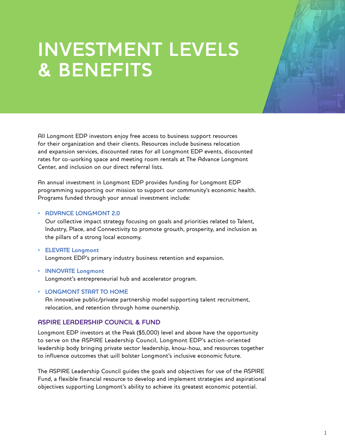## **INVESTMENT LEVELS & BENEFITS**

All Longmont EDP investors enjoy free access to business support resources for their organization and their clients. Resources include business relocation and expansion services, discounted rates for all Longmont EDP events, discounted rates for co-working space and meeting room rentals at The Advance Longmont Center, and inclusion on our direct referral lists.

An annual investment in Longmont EDP provides funding for Longmont EDP programming supporting our mission to support our community's economic health. Programs funded through your annual investment include:

## • **ADVANCE LONGMONT 2.0**

Our collective impact strategy focusing on goals and priorities related to Talent, Industry, Place, and Connectivity to promote growth, prosperity, and inclusion as the pillars of a strong local economy.

- **ELEVATE Longmont** Longmont EDP's primary industry business retention and expansion.
- **INNOVATE Longmont** Longmont's entrepreneurial hub and accelerator program.
- **LONGMONT START TO HOME**

An innovative public/private partnership model supporting talent recruitment, relocation, and retention through home ownership.

## **ASPIRE LEADERSHIP COUNCIL & FUND**

Longmont EDP investors at the Peak (\$5,000) level and above have the opportunity to serve on the ASPIRE Leadership Council, Longmont EDP's action-oriented leadership body bringing private sector leadership, know-how, and resources together to influence outcomes that will bolster Longmont's inclusive economic future.

The ASPIRE Leadership Council guides the goals and objectives for use of the ASPIRE Fund, a flexible financial resource to develop and implement strategies and aspirational objectives supporting Longmont's ability to achieve its greatest economic potential.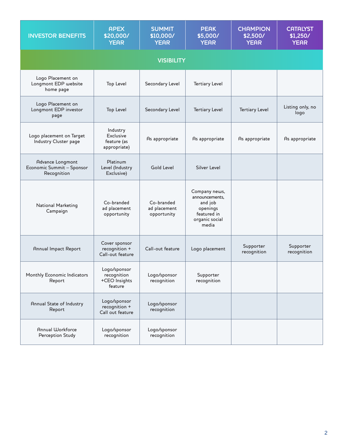| <b>INVESTOR BENEFITS</b>                                     | <b>APEX</b><br>\$20,000/<br><b>YEAR</b>                 | <b>SUMMIT</b><br>\$10,000/<br><b>YEAR</b> | <b>PEAK</b><br>\$5,000/<br><b>YEAR</b>                                                           | <b>CHAMPION</b><br>\$2,500/<br><b>YEAR</b> | <b>CATALYST</b><br>\$1,250/<br><b>YEAR</b> |  |  |  |
|--------------------------------------------------------------|---------------------------------------------------------|-------------------------------------------|--------------------------------------------------------------------------------------------------|--------------------------------------------|--------------------------------------------|--|--|--|
| <b>VISIBILITY</b>                                            |                                                         |                                           |                                                                                                  |                                            |                                            |  |  |  |
| Logo Placement on<br>Longmont EDP website<br>home page       | <b>Top Level</b>                                        | Secondary Level                           | <b>Tertiary Level</b>                                                                            |                                            |                                            |  |  |  |
| Logo Placement on<br>Longmont EDP investor<br>page           | <b>Top Level</b>                                        | Secondary Level                           | <b>Tertiary Level</b>                                                                            | <b>Tertiary Level</b>                      | Listing only, no<br>logo                   |  |  |  |
| Logo placement on Target<br>Industry Cluster page            | Industry<br>Exclusive<br>feature (as<br>appropriate)    | As appropriate                            | As appropriate                                                                                   | As appropriate                             | As appropriate                             |  |  |  |
| Advance Longmont<br>Economic Summit - Sponsor<br>Recognition | Platinum<br>Level (Industry<br>Exclusive)               | <b>Gold Level</b>                         | <b>Silver Level</b>                                                                              |                                            |                                            |  |  |  |
| National Marketing<br>Campaign                               | Co-branded<br>ad placement<br>opportunity               | Co-branded<br>ad placement<br>opportunity | Company news,<br>announcements,<br>and job<br>openings<br>featured in<br>organic social<br>media |                                            |                                            |  |  |  |
| Annual Impact Report                                         | Cover sponsor<br>recognition +<br>Call-out feature      | Call-out feature                          | Logo placement                                                                                   | Supporter<br>recognition                   | Supporter<br>recognition                   |  |  |  |
| Monthly Economic Indicators<br>Report                        | Logo/sponsor<br>recognition<br>+CEO Insights<br>feature | Logo/sponsor<br>recognition               | Supporter<br>recognition                                                                         |                                            |                                            |  |  |  |
| Annual State of Industry<br>Report                           | Logo/sponsor<br>recognition +<br>Call out feature       | Logo/sponsor<br>recognition               |                                                                                                  |                                            |                                            |  |  |  |
| Annual Workforce<br>Perception Study                         | Logo/sponsor<br>recognition                             | Logo/sponsor<br>recognition               |                                                                                                  |                                            |                                            |  |  |  |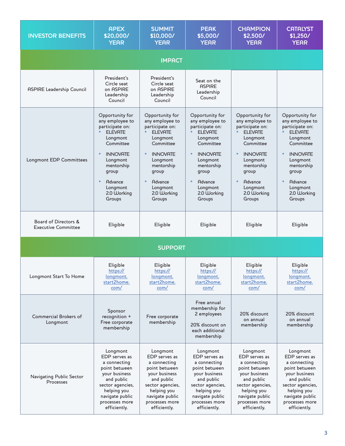| <b>INVESTOR BENEFITS</b>                           | <b>APEX</b><br>\$20,000/<br><b>YEAR</b>                                                                                                                                                                                    | <b>SUMMIT</b><br>\$10,000/<br><b>YEAR</b>                                                                                                                                                                     | <b>PEAK</b><br>\$5,000/<br><b>YEAR</b>                                                                                                                                                                                     | <b>CHAMPION</b><br>\$2,500/<br><b>YEAR</b>                                                                                                                                                              | <b>CATALYST</b><br>\$1,250/<br><b>YEAR</b>                                                                                                                                                       |  |  |  |
|----------------------------------------------------|----------------------------------------------------------------------------------------------------------------------------------------------------------------------------------------------------------------------------|---------------------------------------------------------------------------------------------------------------------------------------------------------------------------------------------------------------|----------------------------------------------------------------------------------------------------------------------------------------------------------------------------------------------------------------------------|---------------------------------------------------------------------------------------------------------------------------------------------------------------------------------------------------------|--------------------------------------------------------------------------------------------------------------------------------------------------------------------------------------------------|--|--|--|
| <b>IMPACT</b>                                      |                                                                                                                                                                                                                            |                                                                                                                                                                                                               |                                                                                                                                                                                                                            |                                                                                                                                                                                                         |                                                                                                                                                                                                  |  |  |  |
| <b>ASPIRE Leadership Council</b>                   | President's<br>Circle seat<br>on ASPIRE<br>Leadership<br>Council                                                                                                                                                           | President's<br>Circle seat<br>on ASPIRE<br>Leadership<br>Council                                                                                                                                              | Seat on the<br><b>ASPIRE</b><br>Leadership<br>Council                                                                                                                                                                      |                                                                                                                                                                                                         |                                                                                                                                                                                                  |  |  |  |
| Longmont EDP Committees                            | Opportunity for<br>any employee to<br>participate on:<br><b>ELEVATE</b><br>Longmont<br>Committee<br><b>INNOVATE</b><br>Longmont<br>mentorship<br>group<br>$\bullet$<br><b>Advance</b><br>Longmont<br>2.0 Working<br>Groups | Opportunity for<br>any employee to<br>participate on:<br><b>ELEVATE</b><br>Longmont<br>Committee<br><b>INNOVATE</b><br>Longmont<br>mentorship<br>group<br><b>Advance</b><br>Longmont<br>2.0 Working<br>Groups | Opportunity for<br>any employee to<br>participate on:<br>FI FVATF<br>Longmont<br>Committee<br>$\bullet$<br><b>INNOVATE</b><br>Longmont<br>mentorship<br>group<br>$\bullet$<br>Advance<br>Longmont<br>2.0 Working<br>Groups | Opportunity for<br>any employee to<br>participate on:<br>FI FVATF<br>Longmont<br>Committee<br><b>INNOVATE</b><br>Longmont<br>mentorship<br>group<br><b>Advance</b><br>Longmont<br>2.0 Working<br>Groups | Opportunity for<br>any employee to<br>participate on:<br>FI FVATF<br>Longmont<br>Committee<br><b>INNOVATE</b><br>Longmont<br>mentorship<br>group<br>Advance<br>Longmont<br>2.0 Working<br>Groups |  |  |  |
| Board of Directors &<br><b>Executive Committee</b> | Eligible                                                                                                                                                                                                                   | Eligible                                                                                                                                                                                                      | Eligible                                                                                                                                                                                                                   | Eligible                                                                                                                                                                                                | Eligible                                                                                                                                                                                         |  |  |  |
| <b>SUPPORT</b>                                     |                                                                                                                                                                                                                            |                                                                                                                                                                                                               |                                                                                                                                                                                                                            |                                                                                                                                                                                                         |                                                                                                                                                                                                  |  |  |  |
| Longmont Start To Home                             | Eligible<br>https://<br><u>longmont.</u><br>start2home.<br>com/                                                                                                                                                            | Eligible<br>https://<br><u>longmont.</u><br>start2home.<br>com/                                                                                                                                               | Eligible<br>https://<br><u>longmont.</u><br><u>start2home.</u><br>com/                                                                                                                                                     | Eligible<br>https://<br>longmont.<br>start2home.<br>com/                                                                                                                                                | Eligible<br>https://<br>longmont.<br>start2home.<br>com/                                                                                                                                         |  |  |  |
| Commercial Brokers of<br>Longmont                  | Sponsor<br>recognition +<br>Free corporate<br>membership                                                                                                                                                                   | Free corporate<br>membership                                                                                                                                                                                  | Free annual<br>membership for<br>2 employees<br>20% discount on<br>each additional<br>membership                                                                                                                           | 20% discount<br>on annual<br>membership                                                                                                                                                                 | 20% discount<br>on annual<br>membership                                                                                                                                                          |  |  |  |
| Navigating Public Sector<br>Processes              | Longmont<br>EDP serves as<br>a connecting<br>point between<br>your business<br>and public<br>sector agencies,<br>helping you<br>navigate public<br>processes more<br>efficiently.                                          | Longmont<br>EDP serves as<br>a connecting<br>point between<br>your business<br>and public<br>sector agencies,<br>helping you<br>navigate public<br>processes more<br>efficiently.                             | Longmont<br>EDP serves as<br>a connecting<br>point between<br>your business<br>and public<br>sector agencies,<br>helping you<br>navigate public<br>processes more<br>efficiently.                                          | Longmont<br>EDP serves as<br>a connecting<br>point between<br>your business<br>and public<br>sector agencies,<br>helping you<br>navigate public<br>processes more<br>efficiently.                       | Longmont<br>EDP serves as<br>a connecting<br>point between<br>your business<br>and public<br>sector agencies,<br>helping you<br>navigate public<br>processes more<br>efficiently.                |  |  |  |